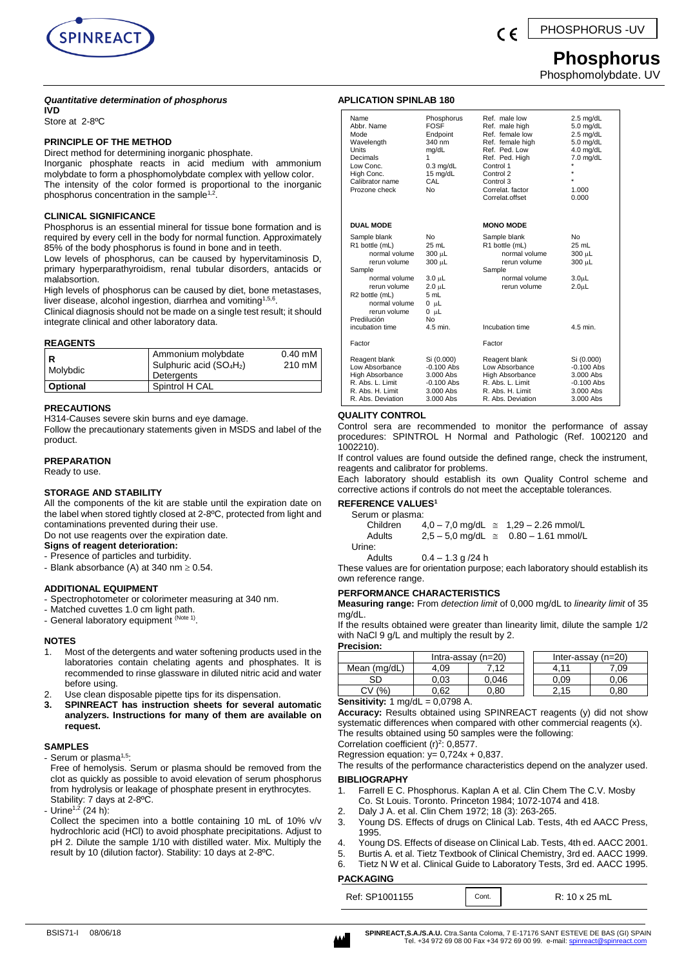

# **Phosphorus**

Phosphomolybdate. UV

# *Quantitative determination of phosphorus*

**IVD**

Store at 2-8ºC

# **PRINCIPLE OF THE METHOD**

Direct method for determining inorganic phosphate.

Inorganic phosphate reacts in acid medium with ammonium molybdate to form a phosphomolybdate complex with yellow color. The intensity of the color formed is proportional to the inorganic phosphorus concentration in the sample<sup>1,2</sup>.

# **CLINICAL SIGNIFICANCE**

Phosphorus is an essential mineral for tissue bone formation and is required by every cell in the body for normal function. Approximately 85% of the body phosphorus is found in bone and in teeth.

Low levels of phosphorus, can be caused by hypervitaminosis D, primary hyperparathyroidism, renal tubular disorders, antacids or malabsortion.

High levels of phosphorus can be caused by diet, bone metastases, liver disease, alcohol ingestion, diarrhea and vomiting<sup>1,5,6</sup>.

Clinical diagnosis should not be made on a single test result; it should integrate clinical and other laboratory data.

# **REAGENTS**

| Molybdic | Ammonium molybdate<br>Sulphuric acid $(SO_4H_2)$<br>Detergents | $0.40 \text{ mM}$<br>210 mM |
|----------|----------------------------------------------------------------|-----------------------------|
| Optional | Spintrol H CAL                                                 |                             |

# **PRECAUTIONS**

H314-Causes severe skin burns and eye damage.

Follow the precautionary statements given in MSDS and label of the product.

# **PREPARATION**

Ready to use.

# **STORAGE AND STABILITY**

All the components of the kit are stable until the expiration date on the label when stored tightly closed at 2-8ºC, protected from light and contaminations prevented during their use. Do not use reagents over the expiration date.

# **Signs of reagent deterioration:**

- Presence of particles and turbidity.
- Blank absorbance (A) at 340 nm  $\geq 0.54$ .

# **ADDITIONAL EQUIPMENT**

# - Spectrophotometer or colorimeter measuring at 340 nm.

- Matched cuvettes 1.0 cm light path.
- General laboratory equipment <sup>(Note 1)</sup>.

# **NOTES**

- 1. Most of the detergents and water softening products used in the laboratories contain chelating agents and phosphates. It is recommended to rinse glassware in diluted nitric acid and water before using.
- 2. Use clean disposable pipette tips for its dispensation.
- **3. SPINREACT has instruction sheets for several automatic analyzers. Instructions for many of them are available on request.**

# **SAMPLES**

- Serum or plasma<sup>1,5</sup>:

Free of hemolysis. Serum or plasma should be removed from the clot as quickly as possible to avoid elevation of serum phosphorus from hydrolysis or leakage of phosphate present in erythrocytes. Stability: 7 days at 2-8ºC.

- Urine<sup>1,2</sup> (24 h):

Collect the specimen into a bottle containing 10 mL of 10% v/v hydrochloric acid (HCl) to avoid phosphate precipitations. Adjust to pH 2. Dilute the sample 1/10 with distilled water. Mix. Multiply the result by 10 (dilution factor). Stability: 10 days at 2-8ºC.

# **APLICATION SPINLAB 180**

| Name<br>Abbr. Name<br>Mode<br>Wavelength<br><b>Units</b><br>Decimals<br>Low Conc.<br>High Conc.<br>Calibrator name<br>Prozone check                                                             | Phosphorus<br><b>FOSE</b><br>Endpoint<br>340 nm<br>mg/dL<br>1<br>$0.3$ mg/dL<br>15 mg/dL<br>CAL<br>N٥ | Ref. male low<br>Ref. male high<br>Ref. female low<br>Ref. female high<br>Ref. Ped. Low<br>Ref. Ped. High<br>Control 1<br>Control 2<br>Control 3<br>Correlat, factor<br>Correlat.offset | $2.5 \text{ mg/dL}$<br>$5.0$ mg/dL<br>$2.5$ mg/dL<br>$5.0$ mg/dL<br>$4.0$ mg/dL<br>7.0 mg/dL<br>÷<br>1.000<br>0.000 |
|-------------------------------------------------------------------------------------------------------------------------------------------------------------------------------------------------|-------------------------------------------------------------------------------------------------------|-----------------------------------------------------------------------------------------------------------------------------------------------------------------------------------------|---------------------------------------------------------------------------------------------------------------------|
| <b>DUAL MODE</b>                                                                                                                                                                                |                                                                                                       | <b>MONO MODE</b>                                                                                                                                                                        |                                                                                                                     |
| Sample blank<br>R1 bottle (mL)<br>normal volume<br>rerun volume<br>Sample<br>normal volume<br>rerun volume<br>R2 bottle (mL)<br>normal volume<br>rerun volume<br>Predilución<br>incubation time | No<br>25 mL<br>300 µL<br>300 µL<br>3.0 սԼ<br>2.0 uL<br>5 mL<br>0 µL<br>0 µL<br>No<br>4.5 min.         | Sample blank<br>R1 bottle (mL)<br>normal volume<br>rerun volume<br>Sample<br>normal volume<br>rerun volume<br>Incubation time                                                           | No<br>25 mL<br>300 µL<br>300 µL<br>3.0 <sub>µ</sub><br>2.0 <sub>µ</sub><br>4.5 min.                                 |
| Factor                                                                                                                                                                                          |                                                                                                       | Factor                                                                                                                                                                                  |                                                                                                                     |
| Reagent blank<br>Low Absorbance<br><b>High Absorbance</b><br>R. Abs. L. Limit<br>R. Abs. H. Limit<br>R. Abs. Deviation                                                                          | Si (0.000)<br>$-0.100$ Abs<br>3.000 Abs<br>$-0.100$ Abs<br>$3.000$ Abs<br>3.000 Abs                   | Reagent blank<br>Low Absorbance<br><b>High Absorbance</b><br>R. Abs. L. Limit<br>R. Abs. H. Limit<br>R. Abs. Deviation                                                                  | Si (0.000)<br>$-0.100$ Abs<br>3.000 Abs<br>$-0.100$ Abs<br>3.000 Abs<br>3.000 Abs                                   |

# **QUALITY CONTROL**

Control sera are recommended to monitor the performance of assay procedures: SPINTROL H Normal and Pathologic (Ref. 1002120 and 1002210).

If control values are found outside the defined range, check the instrument, reagents and calibrator for problems.

Each laboratory should establish its own Quality Control scheme and corrective actions if controls do not meet the acceptable tolerances.

#### **REFERENCE VALUES<sup>1</sup>**  $Se$

Urine:

| Serum or plasma. |                       |                                                |
|------------------|-----------------------|------------------------------------------------|
| Children         |                       | $4.0 - 7.0$ mg/dL $\approx 1.29 - 2.26$ mmol/L |
| Adults<br>Urine: |                       | $2.5 - 5.0$ mg/dL $\approx$ 0.80 - 1.61 mmol/L |
| Adults           | $0.4 - 1.3$ a $/24$ h |                                                |

These values are for orientation purpose; each laboratory should establish its own reference range.

# **PERFORMANCE CHARACTERISTICS**

**Measuring range:** From *detection limit* of 0,000 mg/dL to *linearity limit* of 35 mg/dL.

If the results obtained were greater than linearity limit, dilute the sample 1/2 with NaCl 9 g/L and multiply the result by 2. **Precision:**

| .                                             |                     |       |                      |      |       |
|-----------------------------------------------|---------------------|-------|----------------------|------|-------|
|                                               | $Intra-assay(n=20)$ |       | Inter-assay $(n=20)$ |      |       |
| Mean (mg/dL)                                  | 4.09                | .12   |                      | 4.11 | 7.09. |
| SГ                                            | 0.03                | 0.046 |                      | 0.09 | 0.06  |
| CV (%`                                        | 0.62                | 0.80  |                      | 2.15 | 0.80  |
| $R$ oneitivity 1 ma/dl<br>$-0.0709$ $\Lambda$ |                     |       |                      |      |       |

#### **Sensitivity:** 1 mg/dL = 0,0798 A.

**Accuracy:** Results obtained using SPINREACT reagents (y) did not show systematic differences when compared with other commercial reagents (x). The results obtained using 50 samples were the following:

Correlation coefficient  $(r)^2$ : 0,8577. Regression equation:  $y= 0,724x + 0,837$ .

The results of the performance characteristics depend on the analyzer used.

# **BIBLIOGRAPHY**

- 1. Farrell E C. Phosphorus. Kaplan A et al. Clin Chem The C.V. Mosby Co. St Louis. Toronto. Princeton 1984; 1072-1074 and 418.
- 
- 2. Daly J A. et al. Clin Chem 1972; 18 (3): 263-265. 3. Young DS. Effects of drugs on Clinical Lab. Tests, 4th ed AACC Press, 1995.
- 4. Young DS. Effects of disease on Clinical Lab. Tests, 4th ed. AACC 2001.
- 5. Burtis A. et al. Tietz Textbook of Clinical Chemistry, 3rd ed. AACC 1999.
- 6. Tietz N W et al. Clinical Guide to Laboratory Tests, 3rd ed. AACC 1995.

#### **PACKAGING**

Ref: SP1001155 | Cont. | R: 10 x 25 mL

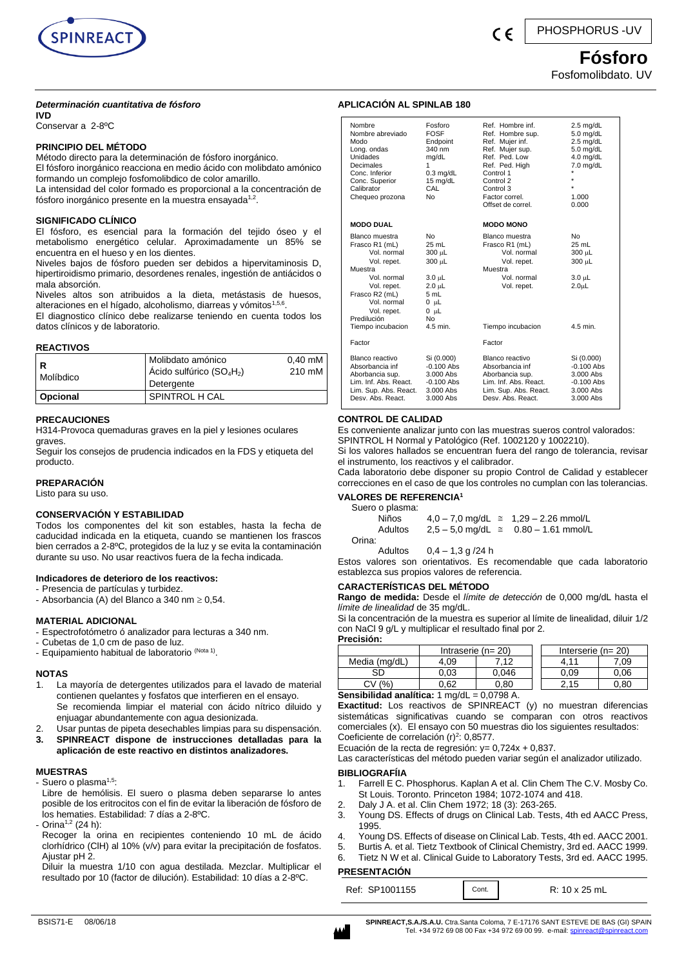

# *Determinación cuantitativa de fósforo*

**IVD** 

Conservar a 2-8ºC

# **PRINCIPIO DEL MÉTODO**

Método directo para la determinación de fósforo inorgánico. El fósforo inorgánico reacciona en medio ácido con molibdato amónico formando un complejo fosfomolibdico de color amarillo.

La intensidad del color formado es proporcional a la concentración de fósforo inorgánico presente en la muestra ensayada<sup>1,2</sup>.

# **SIGNIFICADO CLÍNICO**

El fósforo, es esencial para la formación del tejido óseo y el metabolismo energético celular. Aproximadamente un 85% se encuentra en el hueso y en los dientes.

Niveles bajos de fósforo pueden ser debidos a hipervitaminosis D, hipertiroidismo primario, desordenes renales, ingestión de antiácidos o mala absorción.

Niveles altos son atribuidos a la dieta, metástasis de huesos, alteraciones en el hígado, alcoholismo, diarreas y vómitos<sup>1,5,6</sup>.

El diagnostico clínico debe realizarse teniendo en cuenta todos los datos clínicos y de laboratorio.

# **REACTIVOS**

| ΙR<br>Molíbdico | Molibdato amónico<br>Ácido sulfúrico ( $SO_4H_2$ )<br>Detergente | $0.40 \text{ mM}$<br>210 mM |
|-----------------|------------------------------------------------------------------|-----------------------------|
| Opcional        | SPINTROL H CAL                                                   |                             |

# **PRECAUCIONES**

H314-Provoca quemaduras graves en la piel y lesiones oculares graves.

Seguir los consejos de prudencia indicados en la FDS y etiqueta del producto.

# **PREPARACIÓN**

Listo para su uso.

# **CONSERVACIÓN Y ESTABILIDAD**

Todos los componentes del kit son estables, hasta la fecha de caducidad indicada en la etiqueta, cuando se mantienen los frascos bien cerrados a 2-8ºC, protegidos de la luz y se evita la contaminación durante su uso. No usar reactivos fuera de la fecha indicada.

### **Indicadores de deterioro de los reactivos:**

- Presencia de partículas y turbidez.
- Absorbancia (A) del Blanco a 340 nm  $\geq 0.54$ .

#### **MATERIAL ADICIONAL**

- Espectrofotómetro ó analizador para lecturas a 340 nm.
- Cubetas de 1,0 cm de paso de luz.
- Equipamiento habitual de laboratorio <sup>(Nota 1)</sup>.

#### **NOTAS**

- 1. La mayoría de detergentes utilizados para el lavado de material contienen quelantes y fosfatos que interfieren en el ensayo. Se recomienda limpiar el material con ácido nítrico diluido y enjuagar abundantemente con agua desionizada.
- 2. Usar puntas de pipeta desechables limpias para su dispensación.
- **3. SPINREACT dispone de instrucciones detalladas para la aplicación de este reactivo en distintos analizadores.**

#### **MUESTRAS**

- Suero o plasma<sup>1,5</sup>:
- Libre de hemólisis. El suero o plasma deben separarse lo antes posible de los eritrocitos con el fin de evitar la liberación de fósforo de los hematies. Estabilidad: 7 días a 2-8ºC.
- Orina<sup>1,2</sup> (24 h):
- Recoger la orina en recipientes conteniendo 10 mL de ácido clorhídrico (ClH) al 10% (v/v) para evitar la precipitación de fosfatos. Ajustar pH 2.

Diluir la muestra 1/10 con agua destilada. Mezclar. Multiplicar el resultado por 10 (factor de dilución). Estabilidad: 10 días a 2-8ºC.

# **APLICACIÓN AL SPINLAB 180**

| Nombre<br>Nombre abreviado<br>Modo<br>Long. ondas<br>Unidades<br>Decimales<br>Conc. Inferior<br>Conc. Superior<br>Calibrator<br>Chequeo prozona                                             | Eosforo<br><b>FOSF</b><br>Endpoint<br>340 nm<br>mg/dL<br>1<br>$0.3$ mg/dL<br>15 mg/dL<br>CAL<br><b>No</b>            | Ref Hombre inf<br>Ref. Hombre sup.<br>Ref. Mujer inf.<br>Ref. Mujer sup.<br>Ref. Ped. Low<br>Ref. Ped. High<br>Control 1<br>Control 2<br>Control 3<br>Factor correl.<br>Offset de correl. | $2.5$ mg/dL<br>$5.0$ mg/dL<br>$2.5$ mg/dL<br>$5.0$ mg/dL<br>$4.0$ mg/dL<br>7.0 mg/dL<br>1.000<br>0.000 |
|---------------------------------------------------------------------------------------------------------------------------------------------------------------------------------------------|----------------------------------------------------------------------------------------------------------------------|-------------------------------------------------------------------------------------------------------------------------------------------------------------------------------------------|--------------------------------------------------------------------------------------------------------|
| <b>MODO DUAL</b>                                                                                                                                                                            |                                                                                                                      | <b>MODO MONO</b>                                                                                                                                                                          |                                                                                                        |
| Blanco muestra<br>Frasco R1 (mL)<br>Vol. normal<br>Vol. repet.<br>Muestra<br>Vol. normal<br>Vol. repet.<br>Frasco R2 (mL)<br>Vol. normal<br>Vol. repet.<br>Predilución<br>Tiempo incubacion | <b>No</b><br>25 ml<br>300 µL<br>300 uL<br>3.0 µL<br>$2.0$ uL<br>5 mL<br>$0$ $\mu$ L<br>$0 \mu L$<br>No<br>$4.5$ min. | Blanco muestra<br>Frasco R1 (mL)<br>Vol. normal<br>Vol. repet.<br>Muestra<br>Vol. normal<br>Vol. repet.<br>Tiempo incubacion                                                              | N <sub>0</sub><br>25 ml<br>300 uL<br>300 uL<br>3.0 µL<br>2.0 <sub>µ</sub><br>$4.5$ min.                |
| Factor                                                                                                                                                                                      |                                                                                                                      | Factor                                                                                                                                                                                    |                                                                                                        |
| Blanco reactivo<br>Absorbancia inf<br>Aborbancia sup.<br>Lim. Inf. Abs. React.<br>Lim. Sup. Abs. React.<br>Desy, Abs. React.                                                                | Si (0.000)<br>$-0.100$ Abs<br>3.000 Abs<br>$-0.100$ Abs<br>3.000 Abs<br>$3.000$ Abs                                  | Blanco reactivo<br>Absorbancia inf<br>Aborbancia sup.<br>Lim. Inf. Abs. React.<br>Lim. Sup. Abs. React.<br>Desv. Abs. React.                                                              | Si (0.000)<br>$-0.100$ Abs<br>3.000 Abs<br>$-0.100$ Abs<br>3.000 Abs<br>3.000 Abs                      |

# **CONTROL DE CALIDAD**

Es conveniente analizar junto con las muestras sueros control valorados: SPINTROL H Normal y Patológico (Ref. 1002120 y 1002210).

Si los valores hallados se encuentran fuera del rango de tolerancia, revisar el instrumento, los reactivos y el calibrador.

Cada laboratorio debe disponer su propio Control de Calidad y establecer correcciones en el caso de que los controles no cumplan con las tolerancias.

# **VALORES DE REFERENCIA<sup>1</sup>**

Suero o plasma: Niños 4,0 − 7,0 mg/dL  $\cong$  1,29 − 2.26 mmol/L Adultos  $2,5 - 5,0$  mg/dL  $\approx$  0.80 - 1.61 mmol/L Orina:

Adultos  $0,4 - 1,3$  g  $/24$  h

Estos valores son orientativos. Es recomendable que cada laboratorio establezca sus propios valores de referencia.

# **CARACTERÍSTICAS DEL MÉTODO**

**Rango de medida:** Desde el *límite de detección* de 0,000 mg/dL hasta el *límite de linealidad* de 35 mg/dL.

Si la concentración de la muestra es superior al límite de linealidad, diluir 1/2 con NaCl 9 g/L y multiplicar el resultado final por 2. **Precisión:**

| iguiaium.                                                                 |                     |       |  |                     |      |
|---------------------------------------------------------------------------|---------------------|-------|--|---------------------|------|
|                                                                           | Intraserie $(n=20)$ |       |  | Interserie $(n=20)$ |      |
| Media (mg/dL)                                                             | 4.09                | 7.12  |  | 4.11                | 7.09 |
| SD                                                                        | 0.03                | 0.046 |  | 0.09                | 0.06 |
| (%)<br>CV.                                                                | 0.62                | 0.80  |  | 2.15                | 0.80 |
| $\mathsf{R}$ anaihilidad analítica: 1 ma $ d $<br>$\sim$ $\sim$ 700 $\mu$ |                     |       |  |                     |      |

**I analitica:** 1 mg/dl

**Exactitud:** Los reactivos de SPINREACT (y) no muestran diferencias sistemáticas significativas cuando se comparan con otros reactivos comerciales (x). El ensayo con 50 muestras dio los siguientes resultados: Coeficiente de correlación  $(r)^2$ : 0,8577.

Ecuación de la recta de regresión:  $y = 0,724x + 0,837$ .

Las características del método pueden variar según el analizador utilizado.

# **BIBLIOGRAFÍIA**

- 1. Farrell E C. Phosphorus. Kaplan A et al. Clin Chem The C.V. Mosby Co. St Louis. Toronto. Princeton 1984; 1072-1074 and 418.
- 2. Daly J A. et al. Clin Chem 1972; 18 (3): 263-265.
- 3. Young DS. Effects of drugs on Clinical Lab. Tests, 4th ed AACC Press, 1995.
- 4. Young DS. Effects of disease on Clinical Lab. Tests, 4th ed. AACC 2001.<br>5. Burtis A. et al. Tietz Textbook of Clinical Chemistry, 3rd ed. AACC 1999.
- 5. Burtis A. et al. Tietz Textbook of Clinical Chemistry, 3rd ed. AACC 1999.
- 6. Tietz N W et al. Clinical Guide to Laboratory Tests, 3rd ed. AACC 1995.

# **PRESENTACIÓN**

| Ref: SP1001155 | Cont. | R: 10 x 25 mL |
|----------------|-------|---------------|
|----------------|-------|---------------|



# **Fósforo**

Fosfomolibdato. UV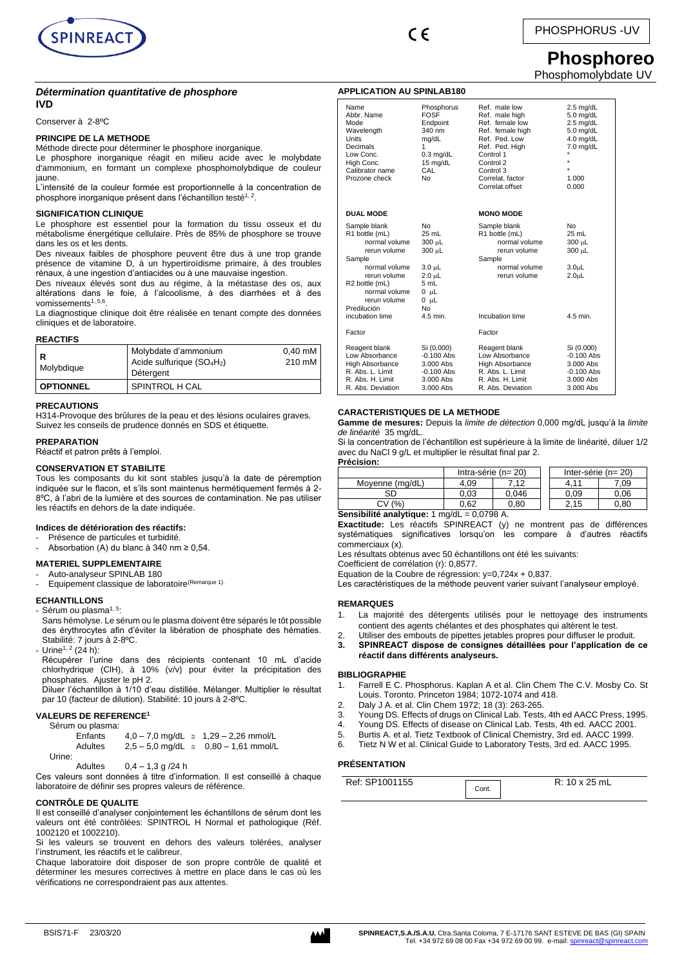

 $\epsilon$ 

**APPLICATION AU SPINLAB180**

# PHOSPHORUS -UV

# **Phosphoreo** Phosphomolybdate UV

*Détermination quantitative de phosphore* **IVD**

Conserver à 2-8ºC

#### **PRINCIPE DE LA METHODE**

Méthode directe pour déterminer le phosphore inorganique.

Le phosphore inorganique réagit en milieu acide avec le molybdate d'ammonium, en formant un complexe phosphomolybdique de couleur jaune.

L'intensité de la couleur formée est proportionnelle à la concentration de phosphore inorganique présent dans l'échantillon testé<sup>1, 2</sup>.

#### **SIGNIFICATION CLINIQUE**

Le phosphore est essentiel pour la formation du tissu osseux et du métabolisme énergétique cellulaire. Près de 85% de phosphore se trouve dans les os et les dents.

Des niveaux faibles de phosphore peuvent être dus à une trop grande présence de vitamine D, à un hypertiroïdisme primaire, à des troubles rénaux, à une ingestion d'antiacides ou à une mauvaise ingestion.

Des niveaux élevés sont dus au régime, à la métastase des os, aux altérations dans le foie, à l'alcoolisme, à des diarrhées et à des vomissements<sup>1, 5,6</sup>.

La diagnostique clinique doit être réalisée en tenant compte des données cliniques et de laboratoire.

#### **REACTIFS**

| R<br>Molybdique  | Molybdate d'ammonium<br>Acide sulfurique $(SO_4H_2)$<br>Détergent | 0.40 mM<br>210 mM |
|------------------|-------------------------------------------------------------------|-------------------|
| <b>OPTIONNEL</b> | SPINTROL H CAL                                                    |                   |

#### **PRECAUTIONS**

H314-Provoque des brûlures de la peau et des lésions oculaires graves. Suivez les conseils de prudence donnés en SDS et étiquette.

#### **PREPARATION**

Réactif et patron prêts à l'emploi.

#### **CONSERVATION ET STABILITE**

Tous les composants du kit sont stables jusqu'à la date de péremption indiquée sur le flacon, et s'ils sont maintenus hermétiquement fermés à 2- 8ºC, à l'abri de la lumière et des sources de contamination. Ne pas utiliser les réactifs en dehors de la date indiquée.

#### **Indices de détérioration des réactifs:**

- Présence de particules et turbidité.
- Absorbation (A) du blanc à 340 nm  $\geq 0.54$ .

#### **MATERIEL SUPPLEMENTAIRE**

- Auto-analyseur SPINLAB 180

Equipement classique de laboratoire<sup>(Remarque 1).</sup>

#### **ECHANTILLONS**

#### - Sérum ou plasma<sup>1, 5</sup>:

Sans hémolyse. Le sérum ou le plasma doivent être séparés le tôt possible des érythrocytes afin d'éviter la libération de phosphate des hématies. Stabilité: 7 jours à 2-8ºC.

- Urine<sup>1, 2</sup> (24 h):

Récupérer l'urine dans des récipients contenant 10 mL d'acide chlorhydrique (ClH), à 10% (v/v) pour éviter la précipitation des phosphates. Ajuster le pH 2.

Diluer l'échantillon à 1/10 d'eau distillée. Mélanger. Multiplier le résultat par 10 (facteur de dilution). Stabilité: 10 jours à 2-8ºC.

#### **VALEURS DE REFERENCE<sup>1</sup>**

Sérum ou plasma:

|        | Enfants |  | $4.0 - 7.0$ mg/dL $\approx 1.29 - 2.26$ mmol/L |
|--------|---------|--|------------------------------------------------|
|        | Adultes |  | $2.5 - 5.0$ mg/dL $\approx$ 0.80 - 1.61 mmol/L |
| Urine: |         |  |                                                |

Adultes 0,4 – 1,3 g /24 h

Ces valeurs sont données à titre d'information. Il est conseillé à chaque laboratoire de définir ses propres valeurs de référence.

#### **CONTRÔLE DE QUALITE**

Il est conseillé d'analyser conjointement les échantillons de sérum dont les valeurs ont été contrôlées: SPINTROL H Normal et pathologique (Réf. 1002120 et 1002210).

Si les valeurs se trouvent en dehors des valeurs tolérées, analyser l'instrument, les réactifs et le calibreur.

Chaque laboratoire doit disposer de son propre contrôle de qualité et déterminer les mesures correctives à mettre en place dans le cas où les vérifications ne correspondraient pas aux attentes.

| Name<br>Abbr. Name<br>Mode<br>Wavelength<br>Units<br>Decimals<br>Low Conc.<br>High Conc.<br>Calibrator name<br>Prozone check                                                 | Phosphorus<br><b>FOSF</b><br>Endpoint<br>340 nm<br>mg/dL<br>1<br>$0.3$ mg/dL<br>15 mg/dL<br>CAL<br>No            | Ref. male low<br>Ref. male high<br>Ref. female low<br>Ref. female high<br>Ref. Ped. Low<br>Ref. Ped. High<br>Control 1<br>Control 2<br>Control 3<br>Correlat, factor<br>Correlat.offset | $2.5$ mg/dL<br>$5.0$ mg/dL<br>$2.5$ mg/dL<br>$5.0$ mg/dL<br>4.0 mg/dL<br>7.0 mg/dL<br>$\star$<br>$\star$<br>1.000<br>0.000 |
|------------------------------------------------------------------------------------------------------------------------------------------------------------------------------|------------------------------------------------------------------------------------------------------------------|-----------------------------------------------------------------------------------------------------------------------------------------------------------------------------------------|----------------------------------------------------------------------------------------------------------------------------|
| <b>DUAL MODE</b>                                                                                                                                                             |                                                                                                                  | <b>MONO MODE</b>                                                                                                                                                                        |                                                                                                                            |
| Sample blank<br>R1 bottle (mL)<br>normal volume<br>rerun volume<br>Sample<br>normal volume<br>rerun volume<br>R2 bottle (mL)<br>normal volume<br>rerun volume<br>Predilución | No<br>25 mL<br>300 µL<br>300 µL<br>3.0 µL<br>$2.0 \mu L$<br>5 mL<br>$0$ $\mu$ L<br>$0$ $\mu$ L<br>N <sub>0</sub> | Sample blank<br>R1 bottle (mL)<br>normal volume<br>rerun volume<br>Sample<br>normal volume<br>rerun volume                                                                              | N <sub>0</sub><br>25 mL<br>300 µL<br>300 µL<br>3.0 <sub>µ</sub><br>2.0 <sub>µ</sub>                                        |
| incubation time                                                                                                                                                              | $4.5$ min.                                                                                                       | Incubation time                                                                                                                                                                         | 4.5 min.                                                                                                                   |
| Factor                                                                                                                                                                       |                                                                                                                  | Factor                                                                                                                                                                                  |                                                                                                                            |
| Reagent blank<br>Low Absorbance<br><b>High Absorbance</b><br>R. Abs. L. Limit<br>R. Abs. H. Limit<br>R. Abs. Deviation                                                       | Si (0.000)<br>$-0.100$ Abs<br>3.000 Abs<br>$-0.100$ Abs<br>3.000 Abs<br>$3.000$ Abs                              | Reagent blank<br>Low Absorbance<br>High Absorbance<br>R. Abs. L. Limit<br>R. Abs. H. Limit<br>R. Abs. Deviation                                                                         | Si (0.000)<br>$-0.100$ Abs<br>3.000 Abs<br>$-0.100$ Abs<br>3.000 Abs<br>3.000 Abs                                          |

#### **CARACTERISTIQUES DE LA METHODE**

**Gamme de mesures:** Depuis la *limite de détection* 0,000 mg/dL jusqu'à la *limite de linéarité* 35 mg/dL.

Si la concentration de l'échantillon est supérieure à la limite de linéarité, diluer 1/2 avec du NaCl 9 g/L et multiplier le résultat final par 2. **Précision:**

|                 | Intra-série ( $n = 20$ ) |       |      |      | Inter-série ( $n = 20$ ) |
|-----------------|--------------------------|-------|------|------|--------------------------|
| Moyenne (mg/dL) | 4.09                     | 7.12  | 4.11 |      | 7.09                     |
| SD              | 0.03                     | 0.046 |      | 0.09 | 0.06                     |
| (% )<br>CV.     | 0.62                     | 0.80  |      | 2.15 | 0.80                     |

**Sensibilité analytique:** 1 mg/dL = 0,0798 A.

**Exactitude:** Les réactifs SPINREACT (y) ne montrent pas de différences systématiques significatives lorsqu'on les compare à d'autres réactifs commerciaux (x).

Les résultats obtenus avec 50 échantillons ont été les suivants:

Coefficient de corrélation (r): 0,8577.

Equation de la Coubre de régression: y=0,724x + 0,837.

Les caractéristiques de la méthode peuvent varier suivant l'analyseur employé.

#### **REMARQUES**

- La majorité des détergents utilisés pour le nettoyage des instruments contient des agents chélantes et des phosphates qui altèrent le test.
- 
- 2. Utiliser des embouts de pipettes jetables propres pour diffuser le produit.<br>3. SPINREACT dispose de consignes détaillées pour l'application de **3. SPINREACT dispose de consignes détaillées pour l'application de ce réactif dans différents analyseurs.**

#### **BIBLIOGRAPHIE**

1. Farrell E C. Phosphorus. Kaplan A et al. Clin Chem The C.V. Mosby Co. St Louis. Toronto. Princeton 1984; 1072-1074 and 418.

- 2. Daly J A. et al. Clin Chem 1972; 18 (3): 263-265.
- 3. Young DS. Effects of drugs on Clinical Lab. Tests, 4th ed AACC Press, 1995.
- 4. Young DS. Effects of disease on Clinical Lab. Tests, 4th ed. AACC 2001.
- 5. Burtis A. et al. Tietz Textbook of Clinical Chemistry, 3rd ed. AACC 1999.
- Tietz N W et al. Clinical Guide to Laboratory Tests, 3rd ed. AACC 1995.

# **PRÉSENTATION**

| Ref: SP1001155 | Cont. | R: 10 x 25 mL |
|----------------|-------|---------------|
|----------------|-------|---------------|